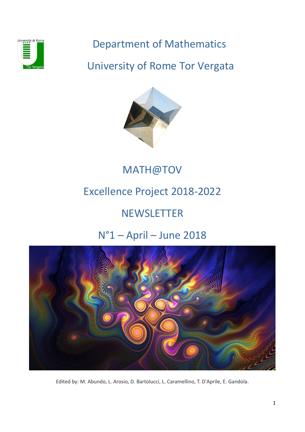

## Department of Mathematics

## University of Rome Tor Vergata



# MATH@TOV

# Excellence Project 2018-2022

# **NEWSLETTER**

# N°1 – April – June 2018



Edited by: M. Abundo, L. Arosio, D. Bartolucci, L. Caramellino, T. D'Aprile, E. Gandola.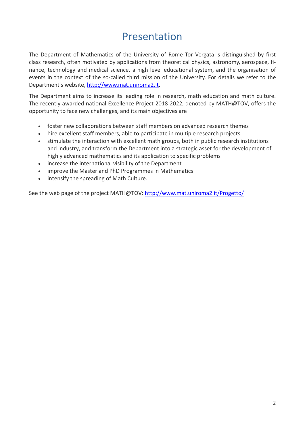### Presentation

The Department of Mathematics of the University of Rome Tor Vergata is distinguished by first class research, often motivated by applications from theoretical physics, astronomy, aerospace, finance, technology and medical science, a high level educational system, and the organisation of events in the context of the so-called third mission of the University. For details we refer to the Department's website, [http://www.mat.uniroma2.it.](http://www.mat.uniroma2.it/)

The Department aims to increase its leading role in research, math education and math culture. The recently awarded national Excellence Project 2018-2022, denoted by MATH@TOV, offers the opportunity to face new challenges, and its main objectives are

- foster new collaborations between staff members on advanced research themes
- hire excellent staff members, able to participate in multiple research projects
- stimulate the interaction with excellent math groups, both in public research institutions and industry, and transform the Department into a strategic asset for the development of highly advanced mathematics and its application to specific problems
- increase the international visibility of the Department
- improve the Master and PhD Programmes in Mathematics
- intensify the spreading of Math Culture.

See the web page of the project MATH@TOV:<http://www.mat.uniroma2.it/Progetto/>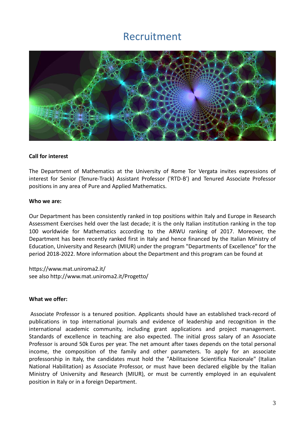### Recruitment



#### **Call for interest**

The Department of Mathematics at the University of Rome Tor Vergata invites expressions of interest for Senior (Tenure-Track) Assistant Professor ('RTD-B') and Tenured Associate Professor positions in any area of Pure and Applied Mathematics.

#### **Who we are:**

Our Department has been consistently ranked in top positions within Italy and Europe in Research Assessment Exercises held over the last decade; it is the only Italian institution ranking in the top 100 worldwide for Mathematics according to the ARWU ranking of 2017. Moreover, the Department has been recently ranked first in Italy and hence financed by the Italian Ministry of Education, University and Research (MIUR) under the program "Departments of Excellence" for the period 2018-2022. More information about the Department and this program can be found at

https://www.mat.uniroma2.it/ see also http://www.mat.uniroma2.it/Progetto/

#### **What we offer:**

Associate Professor is a tenured position. Applicants should have an established track-record of publications in top international journals and evidence of leadership and recognition in the international academic community, including grant applications and project management. Standards of excellence in teaching are also expected. The initial gross salary of an Associate Professor is around 50k Euros per year. The net amount after taxes depends on the total personal income, the composition of the family and other parameters. To apply for an associate professorship in Italy, the candidates must hold the "Abilitazione Scientifica Nazionale" (Italian National Habilitation) as Associate Professor, or must have been declared eligible by the Italian Ministry of University and Research (MIUR), or must be currently employed in an equivalent position in Italy or in a foreign Department.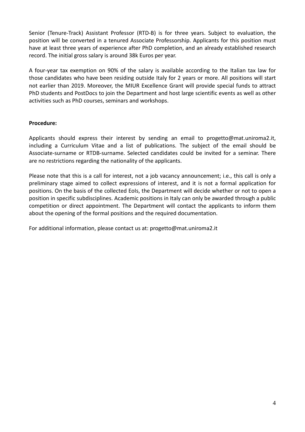Senior (Tenure-Track) Assistant Professor (RTD-B) is for three years. Subject to evaluation, the position will be converted in a tenured Associate Professorship. Applicants for this position must have at least three years of experience after PhD completion, and an already established research record. The initial gross salary is around 38k Euros per year.

A four-year tax exemption on 90% of the salary is available according to the Italian tax law for those candidates who have been residing outside Italy for 2 years or more. All positions will start not earlier than 2019. Moreover, the MIUR Excellence Grant will provide special funds to attract PhD students and PostDocs to join the Department and host large scientific events as well as other activities such as PhD courses, seminars and workshops.

#### **Procedure:**

Applicants should express their interest by sending an email to progetto@mat.uniroma2.it, including a Curriculum Vitae and a list of publications. The subject of the email should be Associate-surname or RTDB-surname. Selected candidates could be invited for a seminar. There are no restrictions regarding the nationality of the applicants.

Please note that this is a call for interest, not a job vacancy announcement; i.e., this call is only a preliminary stage aimed to collect expressions of interest, and it is not a formal application for positions. On the basis of the collected EoIs, the Department will decide whether or not to open a position in specific subdisciplines. Academic positions in Italy can only be awarded through a public competition or direct appointment. The Department will contact the applicants to inform them about the opening of the formal positions and the required documentation.

For additional information, please contact us at: progetto@mat.uniroma2.it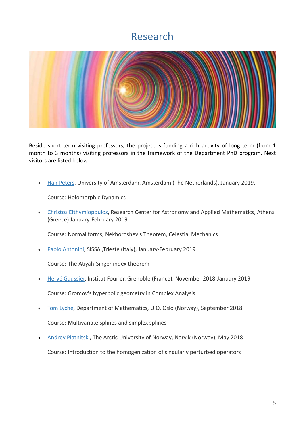### Research



Beside short term visiting professors, the project is funding a rich activity of long term (from 1 month to 3 months) visiting professors in the framework of the Department PhD program. Next visitors are listed below.

• [Han Peters,](http://www.uva.nl/en/profile/p/e/h.peters/h.peters.html) University of Amsterdam, Amsterdam (The Netherlands), January 2019,

Course: Holomorphic Dynamics

• Christos Efthymiopoulos, Research Center for Astronomy and Applied Mathematics, Athens (Greece) January-February 2019

Course: Normal forms, Nekhoroshev's Theorem, Celestial Mechanics

• [Paolo Antonini,](http://www.math.sissa.it/users/paolo-antonini) SISSA ,Trieste (Italy), January-February 2019

Course: The Atiyah-Singer index theorem

- [Hervé Gaussier,](https://www-fourier.ujf-grenoble.fr/?q=fr/content/herv%C3%A9-gaussier) Institut Fourier, Grenoble (France), November 2018-January 2019 Course: Gromov's hyperbolic geometry in Complex Analysis
- [Tom Lyche,](https://www.mn.uio.no/math/english/people/aca/tom/) Department of Mathematics, UiO, Oslo (Norway), September 2018 Course: Multivariate splines and simplex splines
- [Andrey Piatnitski,](http://blogg.uit.no/api009/) The Arctic University of Norway, Narvik (Norway), May 2018

Course: Introduction to the homogenization of singularly perturbed operators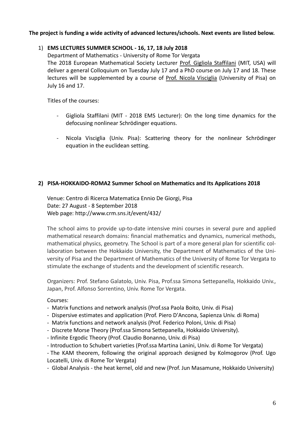#### **The project is funding a wide activity of advanced lectures/schools. Next events are listed below.**

#### 1) **EMS LECTURES SUMMER SCHOOL - 16, 17, 18 July 2018**

Department of Mathematics - University of Rome Tor Vergata The 2018 European Mathematical Society Lecturer Prof. Gigliola Staffilani (MIT, USA) will deliver a general Colloquium on Tuesday July 17 and a PhD course on July 17 and 18. These lectures will be supplemented by a course of Prof. Nicola Visciglia (University of Pisa) on July 16 and 17.

Titles of the courses:

- Gigliola Staffilani (MIT 2018 EMS Lecturer): On the long time dynamics for the defocusing nonlinear Schrödinger equations.
- Nicola Visciglia (Univ. Pisa): Scattering theory for the nonlinear Schrödinger equation in the euclidean setting.

#### **2) PISA-HOKKAIDO-ROMA2 Summer School on Mathematics and Its Applications 2018**

Venue: Centro di Ricerca Matematica Ennio De Giorgi, Pisa Date: 27 August - 8 September 2018 Web page: <http://www.crm.sns.it/event/432/>

The school aims to provide up-to-date intensive mini courses in several pure and applied mathematical research domains: financial mathematics and dynamics, numerical methods, mathematical physics, geometry. The School is part of a more general plan for scientific collaboration between the Hokkaido University, the Department of Mathematics of the University of Pisa and the Department of Mathematics of the University of Rome Tor Vergata to stimulate the exchange of students and the development of scientific research.

Organizers: Prof. Stefano Galatolo, Univ. Pisa, Prof.ssa Simona Settepanella, Hokkaido Univ., Japan, Prof. Alfonso Sorrentino, Univ. Rome Tor Vergata.

Courses:

- Matrix functions and network analysis (Prof.ssa Paola Boito, Univ. di Pisa)
- Dispersive estimates and application (Prof. Piero D'Ancona, Sapienza Univ. di Roma)
- Matrix functions and network analysis (Prof. Federico Poloni, Univ. di Pisa)
- Discrete Morse Theory (Prof.ssa Simona Settepanella, Hokkaido University).
- Infinite Ergodic Theory (Prof. Claudio Bonanno, Univ. di Pisa)
- Introduction to Schubert varieties (Prof.ssa Martina Lanini, Univ. di Rome Tor Vergata)

- The KAM theorem, following the original approach designed by Kolmogorov (Prof. Ugo Locatelli, Univ. di Rome Tor Vergata)

- Global Analysis - the heat kernel, old and new (Prof. Jun Masamune, Hokkaido University)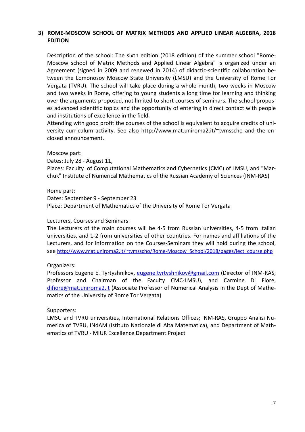#### **3) ROME-MOSCOW SCHOOL OF MATRIX METHODS AND APPLIED LINEAR ALGEBRA, 2018 EDITION**

Description of the school: The sixth edition (2018 edition) of the summer school "Rome-Moscow school of Matrix Methods and Applied Linear Algebra" is organized under an Agreement (signed in 2009 and renewed in 2014) of didactic-scientific collaboration between the Lomonosov Moscow State University (LMSU) and the University of Rome Tor Vergata (TVRU). The school will take place during a whole month, two weeks in Moscow and two weeks in Rome, offering to young students a long time for learning and thinking over the arguments proposed, not limited to short courses of seminars. The school proposes advanced scientific topics and the opportunity of entering in direct contact with people and institutions of excellence in the field.

Attending with good profit the courses of the school is equivalent to acquire credits of university curriculum activity. See also [http://www.mat.uniroma2.it/~tvmsscho](http://www.mat.uniroma2.it/%7Etvmsscho) and the enclosed announcement.

#### Moscow part:

Dates: July 28 - August 11,

Places: Faculty of Computational Mathematics and Cybernetics (CMC) of LMSU, and "Marchuk" Institute of Numerical Mathematics of the Russian Academy of Sciences (INM-RAS)

Rome part: Dates: September 9 - September 23 Place: Department of Mathematics of the University of Rome Tor Vergata

#### Lecturers, Courses and Seminars:

The Lecturers of the main courses will be 4-5 from Russian universities, 4-5 from Italian universities, and 1-2 from universities of other countries. For names and affiliations of the Lecturers, and for information on the Courses-Seminars they will hold during the school, see [http://www.mat.uniroma2.it/~tvmsscho/Rome-Moscow\\_School/2018/pages/lect\\_course.php](http://www.mat.uniroma2.it/%7Etvmsscho/Rome-Moscow_School/2018/pages/lect_course.php)

#### Organizers:

Professors Eugene E. Tyrtyshnikov, [eugene.tyrtyshnikov@gmail.com](mailto:eugene.tyrtyshnikov@gmail.com) (Director of INM-RAS, Professor and Chairman of the Faculty CMC-LMSU), and Carmine Di Fiore, [difiore@mat.uniroma2.it](mailto:difiore@mat.uniroma2.it) (Associate Professor of Numerical Analysis in the Dept of Mathematics of the University of Rome Tor Vergata)

#### Supporters:

LMSU and TVRU universities, International Relations Offices; INM-RAS, Gruppo Analisi Numerica of TVRU, INdAM (Istituto Nazionale di Alta Matematica), and Department of Mathematics of TVRU - MIUR Excellence Department Project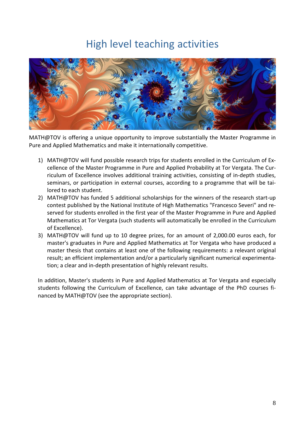## High level teaching activities



MATH@TOV is offering a unique opportunity to improve substantially the Master Programme in Pure and Applied Mathematics and make it internationally competitive.

- 1) MATH@TOV will fund possible research trips for students enrolled in the Curriculum of Excellence of the Master Programme in Pure and Applied Probability at Tor Vergata. The Curriculum of Excellence involves additional training activities, consisting of in-depth studies, seminars, or participation in external courses, according to a programme that will be tailored to each student.
- 2) MATH@TOV has funded 5 additional scholarships for the winners of the research start-up contest published by the National Institute of High Mathematics "Francesco Severi" and reserved for students enrolled in the first year of the Master Programme in Pure and Applied Mathematics at Tor Vergata (such students will automatically be enrolled in the Curriculum of Excellence).
- 3) MATH@TOV will fund up to 10 degree prizes, for an amount of 2,000.00 euros each, for master's graduates in Pure and Applied Mathematics at Tor Vergata who have produced a master thesis that contains at least one of the following requirements: a relevant original result; an efficient implementation and/or a particularly significant numerical experimentation; a clear and in-depth presentation of highly relevant results.

In addition, Master's students in Pure and Applied Mathematics at Tor Vergata and especially students following the Curriculum of Excellence, can take advantage of the PhD courses financed by MATH@TOV (see the appropriate section).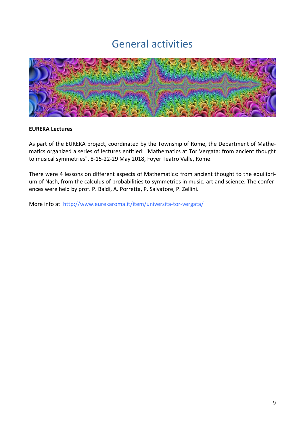### General activities



#### **EUREKA Lectures**

As part of the EUREKA project, coordinated by the Township of Rome, the Department of Mathematics organized a series of lectures entitled: "Mathematics at Tor Vergata: from ancient thought to musical symmetries", 8-15-22-29 May 2018, Foyer Teatro Valle, Rome.

There were 4 lessons on different aspects of Mathematics: from ancient thought to the equilibrium of Nash, from the calculus of probabilities to symmetries in music, art and science. The conferences were held by prof. P. Baldi, A. Porretta, P. Salvatore, P. Zellini.

More info at <http://www.eurekaroma.it/item/universita-tor-vergata/>